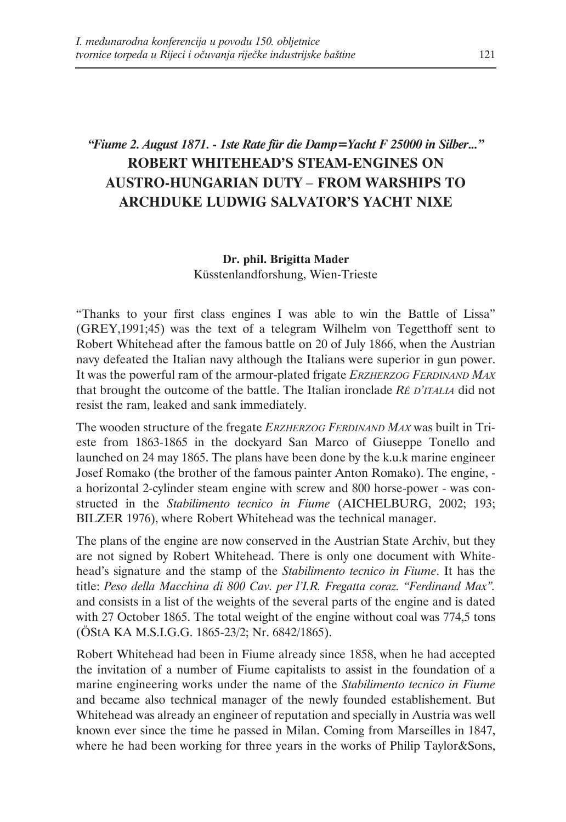# *"Fiume 2. August 1871. - 1ste Rate für die Damp=Yacht F 25000 in Silber..."* **ROBERT WHITEHEAD'S STEAM-ENGINES ON AUSTRO-HUNGARIAN DUTY** *–* **FROM WARSHIPS TO ARCHDUKE LUDWIG SALVATOR'S YACHT NIXE**

### **Dr. phil. Brigitta Mader** Küsstenlandforshung, Wien-Trieste

"Thanks to your first class engines I was able to win the Battle of Lissa" (GREY,1991;45) was the text of a telegram Wilhelm von Tegetthoff sent to Robert Whitehead after the famous battle on 20 of July 1866, when the Austrian navy defeated the Italian navy although the Italians were superior in gun power. It was the powerful ram of the armour-plated frigate *ERZHERZOG FERDINAND MAX* that brought the outcome of the battle. The Italian ironclade *RÉ D'ITALIA* did not resist the ram, leaked and sank immediately.

The wooden structure of the fregate *ERZHERZOG FERDINAND MAX* was built in Trieste from 1863-1865 in the dockyard San Marco of Giuseppe Tonello and launched on 24 may 1865. The plans have been done by the k.u.k marine engineer Josef Romako (the brother of the famous painter Anton Romako). The engine, a horizontal 2-cylinder steam engine with screw and 800 horse-power - was constructed in the *Stabilimento tecnico in Fiume* (AICHELBURG, 2002; 193; BILZER 1976), where Robert Whitehead was the technical manager.

The plans of the engine are now conserved in the Austrian State Archiv, but they are not signed by Robert Whitehead. There is only one document with Whitehead's signature and the stamp of the *Stabilimento tecnico in Fiume*. It has the title: *Peso della Macchina di 800 Cav. per l'I.R. Fregatta coraz. "Ferdinand Max".* and consists in a list of the weights of the several parts of the engine and is dated with 27 October 1865. The total weight of the engine without coal was 774,5 tons (ÖStA KA M.S.I.G.G. 1865-23/2; Nr. 6842/1865).

Robert Whitehead had been in Fiume already since 1858, when he had accepted the invitation of a number of Fiume capitalists to assist in the foundation of a marine engineering works under the name of the *Stabilimento tecnico in Fiume* and became also technical manager of the newly founded establishement. But Whitehead was already an engineer of reputation and specially in Austria was well known ever since the time he passed in Milan. Coming from Marseilles in 1847, where he had been working for three years in the works of Philip Taylor&Sons,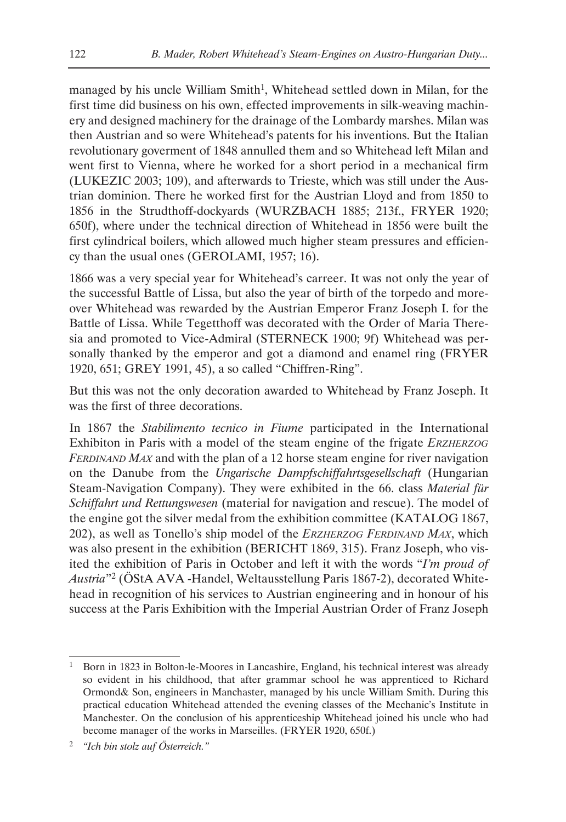managed by his uncle William Smith<sup>1</sup>, Whitehead settled down in Milan, for the first time did business on his own, effected improvements in silk-weaving machinery and designed machinery for the drainage of the Lombardy marshes. Milan was then Austrian and so were Whitehead's patents for his inventions. But the Italian revolutionary goverment of 1848 annulled them and so Whitehead left Milan and went first to Vienna, where he worked for a short period in a mechanical firm (LUKEZIC 2003; 109), and afterwards to Trieste, which was still under the Austrian dominion. There he worked first for the Austrian Lloyd and from 1850 to 1856 in the Strudthoff-dockyards (WURZBACH 1885; 213f., FRYER 1920; 650f), where under the technical direction of Whitehead in 1856 were built the first cylindrical boilers, which allowed much higher steam pressures and efficiency than the usual ones (GEROLAMI, 1957; 16).

1866 was a very special year for Whitehead's carreer. It was not only the year of the successful Battle of Lissa, but also the year of birth of the torpedo and moreover Whitehead was rewarded by the Austrian Emperor Franz Joseph I. for the Battle of Lissa. While Tegetthoff was decorated with the Order of Maria Theresia and promoted to Vice-Admiral (STERNECK 1900; 9f) Whitehead was personally thanked by the emperor and got a diamond and enamel ring (FRYER 1920, 651; GREY 1991, 45), a so called "Chiffren-Ring".

But this was not the only decoration awarded to Whitehead by Franz Joseph. It was the first of three decorations.

In 1867 the *Stabilimento tecnico in Fiume* participated in the International Exhibiton in Paris with a model of the steam engine of the frigate *ERZHERZOG FERDINAND MAX* and with the plan of a 12 horse steam engine for river navigation on the Danube from the *Ungarische Dampfschiffahrtsgesellschaft* (Hungarian Steam-Navigation Company). They were exhibited in the 66. class *Material für Schiffahrt und Rettungswesen* (material for navigation and rescue). The model of the engine got the silver medal from the exhibition committee (KATALOG 1867, 202), as well as Tonello's ship model of the *ERZHERZOG FERDINAND MAX*, which was also present in the exhibition (BERICHT 1869, 315). Franz Joseph, who visited the exhibition of Paris in October and left it with the words "*I'm proud of Austria*"2 (ÖStA AVA -Handel, Weltausstellung Paris 1867-2), decorated Whitehead in recognition of his services to Austrian engineering and in honour of his success at the Paris Exhibition with the Imperial Austrian Order of Franz Joseph

<sup>&</sup>lt;sup>1</sup> Born in 1823 in Bolton-le-Moores in Lancashire, England, his technical interest was already so evident in his childhood, that after grammar school he was apprenticed to Richard Ormond& Son, engineers in Manchaster, managed by his uncle William Smith. During this practical education Whitehead attended the evening classes of the Mechanic's Institute in Manchester. On the conclusion of his apprenticeship Whitehead joined his uncle who had become manager of the works in Marseilles. (FRYER 1920, 650f.)

<sup>2</sup> *"Ich bin stolz auf Österreich."*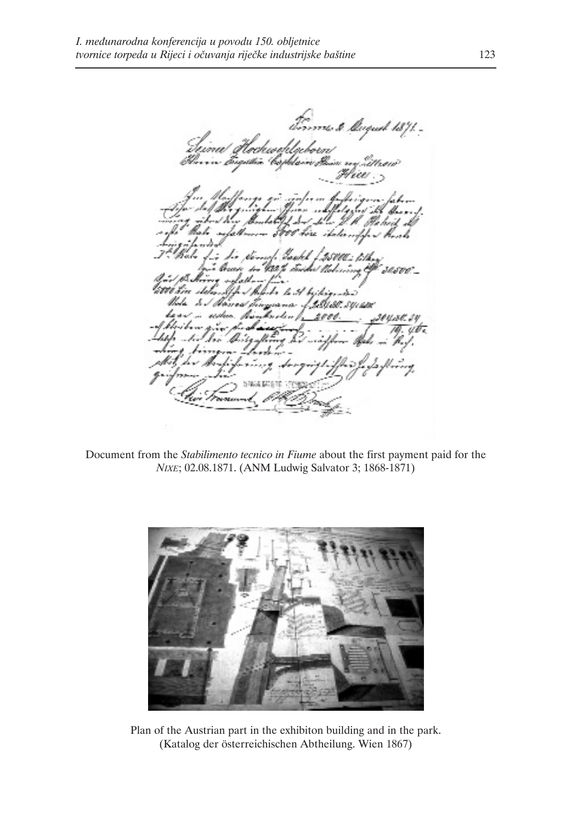firms \$ Maguel 1871. .<br>Izina Itschweldgeborn<br>Ilmn bugata boplani fluis ny titran iz. 41 りっぴに とみ l. x A bridge Coluse sures 20420.54 yb.

Document from the *Stabilimento tecnico in Fiume* about the first payment paid for the *NIXE*; 02.08.1871. (ANM Ludwig Salvator 3; 1868-1871)



Plan of the Austrian part in the exhibiton building and in the park. (Katalog der österreichischen Abtheilung. Wien 1867)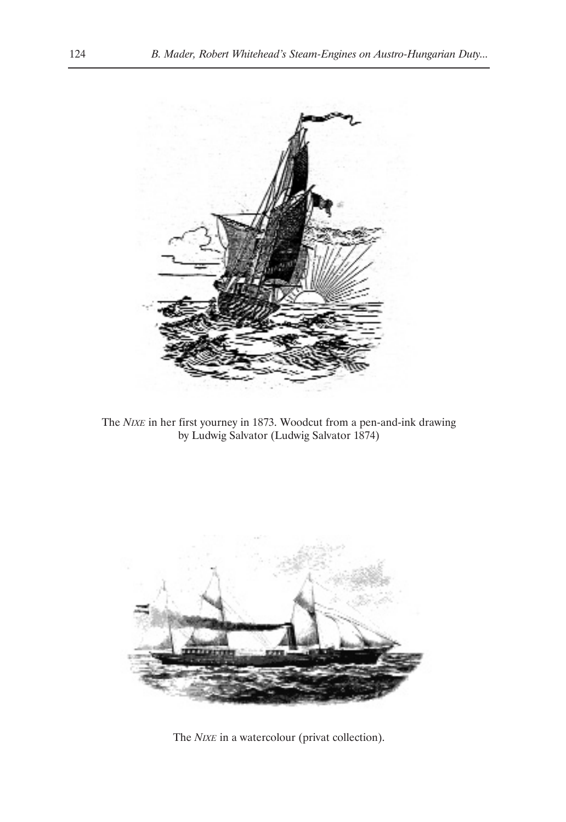

The *NIXE* in her first yourney in 1873. Woodcut from a pen-and-ink drawing by Ludwig Salvator (Ludwig Salvator 1874)



The *NIXE* in a watercolour (privat collection).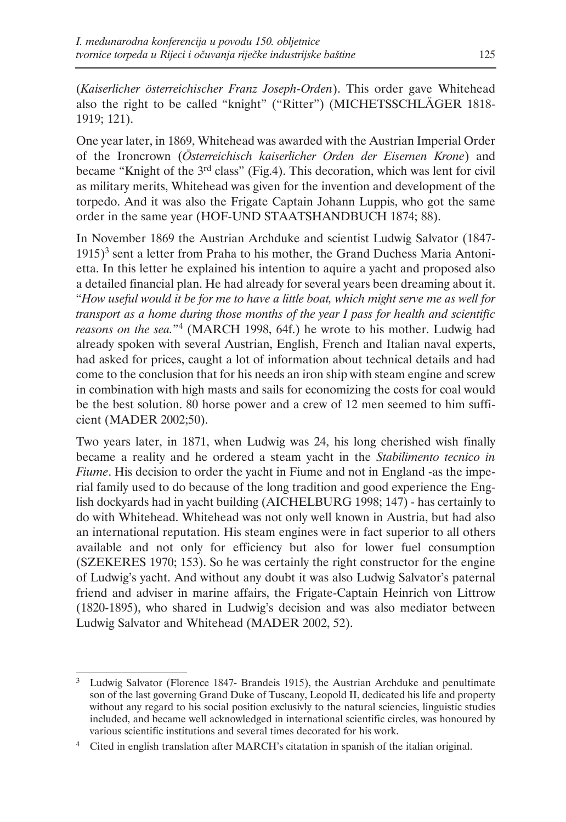(*Kaiserlicher österreichischer Franz Joseph-Orden*). This order gave Whitehead also the right to be called "knight" ("Ritter") (MICHETSSCHLÄGER 1818- 1919; 121).

One year later, in 1869, Whitehead was awarded with the Austrian Imperial Order of the Ironcrown (*Österreichisch kaiserlicher Orden der Eisernen Krone*) and became "Knight of the 3<sup>rd</sup> class" (Fig.4). This decoration, which was lent for civil as military merits, Whitehead was given for the invention and development of the torpedo. And it was also the Frigate Captain Johann Luppis, who got the same order in the same year (HOF-UND STAATSHANDBUCH 1874; 88).

In November 1869 the Austrian Archduke and scientist Ludwig Salvator (1847-  $1915$ <sup>3</sup> sent a letter from Praha to his mother, the Grand Duchess Maria Antonietta. In this letter he explained his intention to aquire a yacht and proposed also a detailed financial plan. He had already for several years been dreaming about it. "*How useful would it be for me to have a little boat, which might serve me as well for transport as a home during those months of the year I pass for health and scientific reasons on the sea.*"4 (MARCH 1998, 64f.) he wrote to his mother. Ludwig had already spoken with several Austrian, English, French and Italian naval experts, had asked for prices, caught a lot of information about technical details and had come to the conclusion that for his needs an iron ship with steam engine and screw in combination with high masts and sails for economizing the costs for coal would be the best solution. 80 horse power and a crew of 12 men seemed to him sufficient (MADER 2002;50).

Two years later, in 1871, when Ludwig was 24, his long cherished wish finally became a reality and he ordered a steam yacht in the *Stabilimento tecnico in Fiume*. His decision to order the yacht in Fiume and not in England -as the imperial family used to do because of the long tradition and good experience the English dockyards had in yacht building (AICHELBURG 1998; 147) - has certainly to do with Whitehead. Whitehead was not only well known in Austria, but had also an international reputation. His steam engines were in fact superior to all others available and not only for efficiency but also for lower fuel consumption (SZEKERES 1970; 153). So he was certainly the right constructor for the engine of Ludwig's yacht. And without any doubt it was also Ludwig Salvator's paternal friend and adviser in marine affairs, the Frigate-Captain Heinrich von Littrow (1820-1895), who shared in Ludwig's decision and was also mediator between Ludwig Salvator and Whitehead (MADER 2002, 52).

Ludwig Salvator (Florence 1847- Brandeis 1915), the Austrian Archduke and penultimate son of the last governing Grand Duke of Tuscany, Leopold II, dedicated his life and property without any regard to his social position exclusivly to the natural sciencies, linguistic studies included, and became well acknowledged in international scientific circles, was honoured by various scientific institutions and several times decorated for his work.

<sup>4</sup> Cited in english translation after MARCH's citatation in spanish of the italian original.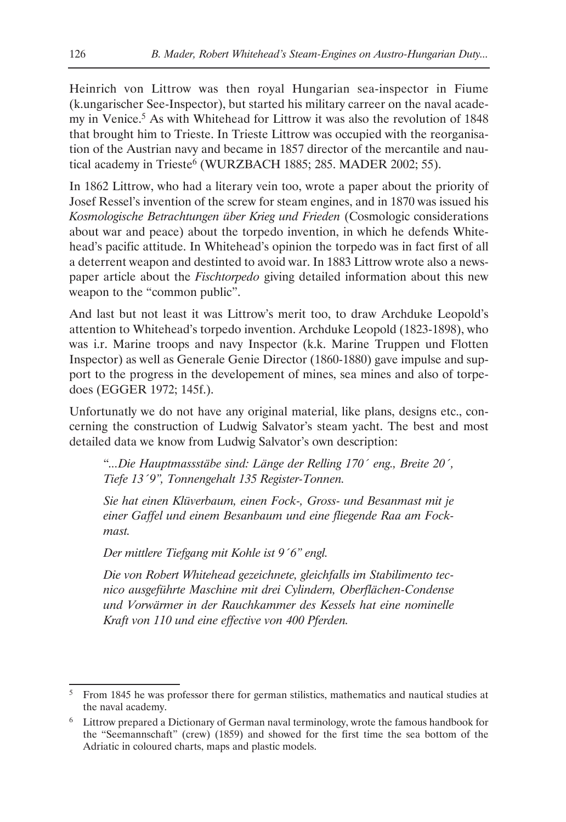Heinrich von Littrow was then royal Hungarian sea-inspector in Fiume (k.ungarischer See-Inspector), but started his military carreer on the naval academy in Venice.<sup>5</sup> As with Whitehead for Littrow it was also the revolution of 1848 that brought him to Trieste. In Trieste Littrow was occupied with the reorganisation of the Austrian navy and became in 1857 director of the mercantile and nautical academy in Trieste<sup>6</sup> (WURZBACH 1885; 285. MADER 2002; 55).

In 1862 Littrow, who had a literary vein too, wrote a paper about the priority of Josef Ressel's invention of the screw for steam engines, and in 1870 was issued his *Kosmologische Betrachtungen über Krieg und Frieden* (Cosmologic considerations about war and peace) about the torpedo invention, in which he defends Whitehead's pacific attitude. In Whitehead's opinion the torpedo was in fact first of all a deterrent weapon and destinted to avoid war. In 1883 Littrow wrote also a newspaper article about the *Fischtorpedo* giving detailed information about this new weapon to the "common public".

And last but not least it was Littrow's merit too, to draw Archduke Leopold's attention to Whitehead's torpedo invention. Archduke Leopold (1823-1898), who was i.r. Marine troops and navy Inspector (k.k. Marine Truppen und Flotten Inspector) as well as Generale Genie Director (1860-1880) gave impulse and support to the progress in the developement of mines, sea mines and also of torpedoes (EGGER 1972; 145f.).

Unfortunatly we do not have any original material, like plans, designs etc., concerning the construction of Ludwig Salvator's steam yacht. The best and most detailed data we know from Ludwig Salvator's own description:

"*...Die Hauptmassstäbe sind: Länge der Relling 170´ eng., Breite 20´, Tiefe 13´9", Tonnengehalt 135 Register-Tonnen.*

*Sie hat einen Klüverbaum, einen Fock-, Gross- und Besanmast mit je einer Gaffel und einem Besanbaum und eine fliegende Raa am Fockmast.*

*Der mittlere Tiefgang mit Kohle ist 9´6" engl.*

*Die von Robert Whitehead gezeichnete, gleichfalls im Stabilimento tecnico ausgeführte Maschine mit drei Cylindern, Oberflächen-Condense und Vorwärmer in der Rauchkammer des Kessels hat eine nominelle Kraft von 110 und eine effective von 400 Pferden.* 

<sup>5</sup> From 1845 he was professor there for german stilistics, mathematics and nautical studies at the naval academy.

<sup>6</sup> Littrow prepared a Dictionary of German naval terminology, wrote the famous handbook for the "Seemannschaft" (crew) (1859) and showed for the first time the sea bottom of the Adriatic in coloured charts, maps and plastic models.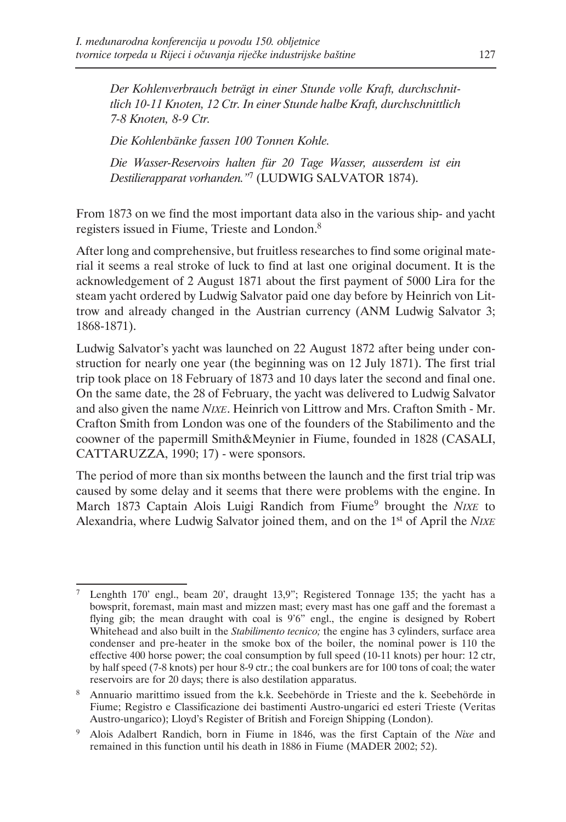*Der Kohlenverbrauch beträgt in einer Stunde volle Kraft, durchschnittlich 10-11 Knoten, 12 Ctr. In einer Stunde halbe Kraft, durchschnittlich 7-8 Knoten, 8-9 Ctr.*

*Die Kohlenbänke fassen 100 Tonnen Kohle.*

*Die Wasser-Reservoirs halten für 20 Tage Wasser, ausserdem ist ein Destilierapparat vorhanden."*<sup>7</sup> (LUDWIG SALVATOR 1874).

From 1873 on we find the most important data also in the various ship- and yacht registers issued in Fiume, Trieste and London.8

After long and comprehensive, but fruitless researches to find some original material it seems a real stroke of luck to find at last one original document. It is the acknowledgement of 2 August 1871 about the first payment of 5000 Lira for the steam yacht ordered by Ludwig Salvator paid one day before by Heinrich von Littrow and already changed in the Austrian currency (ANM Ludwig Salvator 3; 1868-1871).

Ludwig Salvator's yacht was launched on 22 August 1872 after being under construction for nearly one year (the beginning was on 12 July 1871). The first trial trip took place on 18 February of 1873 and 10 days later the second and final one. On the same date, the 28 of February, the yacht was delivered to Ludwig Salvator and also given the name *NIXE*. Heinrich von Littrow and Mrs. Crafton Smith - Mr. Crafton Smith from London was one of the founders of the Stabilimento and the coowner of the papermill Smith&Meynier in Fiume, founded in 1828 (CASALI, CATTARUZZA, 1990; 17) - were sponsors.

The period of more than six months between the launch and the first trial trip was caused by some delay and it seems that there were problems with the engine. In March 1873 Captain Alois Luigi Randich from Fiume9 brought the *NIXE* to Alexandria, where Ludwig Salvator joined them, and on the 1st of April the *NIXE*

<sup>7</sup> Lenghth 170' engl., beam 20', draught 13,9"; Registered Tonnage 135; the yacht has a bowsprit, foremast, main mast and mizzen mast; every mast has one gaff and the foremast a flying gib; the mean draught with coal is 9'6" engl., the engine is designed by Robert Whitehead and also built in the *Stabilimento tecnico;* the engine has 3 cylinders, surface area condenser and pre-heater in the smoke box of the boiler, the nominal power is 110 the effective 400 horse power; the coal consumption by full speed (10-11 knots) per hour: 12 ctr, by half speed (7-8 knots) per hour 8-9 ctr.; the coal bunkers are for 100 tons of coal; the water reservoirs are for 20 days; there is also destilation apparatus.

<sup>&</sup>lt;sup>8</sup> Annuario marittimo issued from the k.k. Seebehörde in Trieste and the k. Seebehörde in Fiume; Registro e Classificazione dei bastimenti Austro-ungarici ed esteri Trieste (Veritas Austro-ungarico); Lloyd's Register of British and Foreign Shipping (London).

<sup>9</sup> Alois Adalbert Randich, born in Fiume in 1846, was the first Captain of the *Nixe* and remained in this function until his death in 1886 in Fiume (MADER 2002; 52).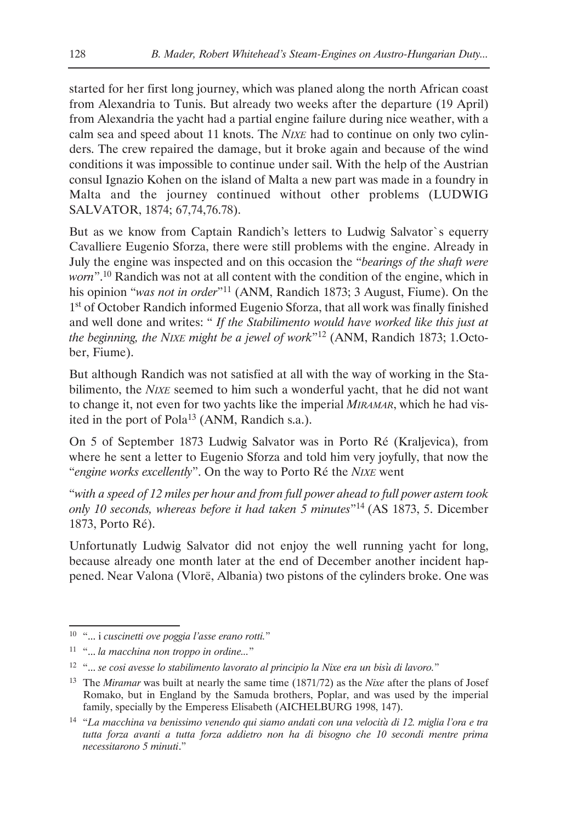started for her first long journey, which was planed along the north African coast from Alexandria to Tunis. But already two weeks after the departure (19 April) from Alexandria the yacht had a partial engine failure during nice weather, with a calm sea and speed about 11 knots. The *NIXE* had to continue on only two cylinders. The crew repaired the damage, but it broke again and because of the wind conditions it was impossible to continue under sail. With the help of the Austrian consul Ignazio Kohen on the island of Malta a new part was made in a foundry in Malta and the journey continued without other problems (LUDWIG SALVATOR, 1874; 67,74,76.78).

But as we know from Captain Randich's letters to Ludwig Salvator`s equerry Cavalliere Eugenio Sforza, there were still problems with the engine. Already in July the engine was inspected and on this occasion the "*bearings of the shaft were worn*".10 Randich was not at all content with the condition of the engine, which in his opinion "*was not in order*"11 (ANM, Randich 1873; 3 August, Fiume). On the 1<sup>st</sup> of October Randich informed Eugenio Sforza, that all work was finally finished and well done and writes: " *If the Stabilimento would have worked like this just at the beginning, the NIXE might be a jewel of work*"12 (ANM, Randich 1873; 1.October, Fiume).

But although Randich was not satisfied at all with the way of working in the Stabilimento, the *NIXE* seemed to him such a wonderful yacht, that he did not want to change it, not even for two yachts like the imperial *MIRAMAR*, which he had visited in the port of Pola<sup>13</sup> (ANM, Randich s.a.).

On 5 of September 1873 Ludwig Salvator was in Porto Ré (Kraljevica), from where he sent a letter to Eugenio Sforza and told him very joyfully, that now the "*engine works excellently*". On the way to Porto Ré the *NIXE* went

"*with a speed of 12 miles per hour and from full power ahead to full power astern took only 10 seconds, whereas before it had taken 5 minutes*"14 (AS 1873, 5. Dicember 1873, Porto Ré).

Unfortunatly Ludwig Salvator did not enjoy the well running yacht for long, because already one month later at the end of December another incident happened. Near Valona (Vlorë, Albania) two pistons of the cylinders broke. One was

<sup>10</sup> "... i *cuscinetti ove poggia l'asse erano rotti.*"

<sup>11</sup> "... *la macchina non troppo in ordine...*"

<sup>12</sup> "... *se cosi avesse lo stabilimento lavorato al principio la Nixe era un bisáu di lavoro.*"

<sup>13</sup> The *Miramar* was built at nearly the same time (1871/72) as the *Nixe* after the plans of Josef Romako, but in England by the Samuda brothers, Poplar, and was used by the imperial family, specially by the Emperess Elisabeth (AICHELBURG 1998, 147).

<sup>&</sup>lt;sup>14</sup> "La macchina va benissimo venendo qui siamo andati con una velocità di 12. miglia l'ora e tra *tutta forza avanti a tutta forza addietro non ha di bisogno che 10 secondi mentre prima necessitarono 5 minuti*."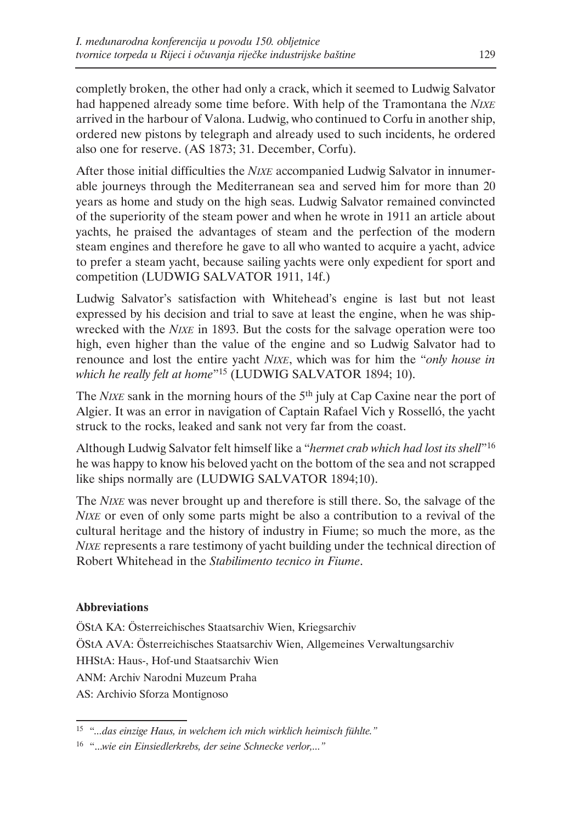completly broken, the other had only a crack, which it seemed to Ludwig Salvator had happened already some time before. With help of the Tramontana the *NIXE* arrived in the harbour of Valona. Ludwig, who continued to Corfu in another ship, ordered new pistons by telegraph and already used to such incidents, he ordered also one for reserve. (AS 1873; 31. December, Corfu).

After those initial difficulties the *NIXE* accompanied Ludwig Salvator in innumerable journeys through the Mediterranean sea and served him for more than 20 years as home and study on the high seas. Ludwig Salvator remained convincted of the superiority of the steam power and when he wrote in 1911 an article about yachts, he praised the advantages of steam and the perfection of the modern steam engines and therefore he gave to all who wanted to acquire a yacht, advice to prefer a steam yacht, because sailing yachts were only expedient for sport and competition (LUDWIG SALVATOR 1911, 14f.)

Ludwig Salvator's satisfaction with Whitehead's engine is last but not least expressed by his decision and trial to save at least the engine, when he was shipwrecked with the *NIXE* in 1893. But the costs for the salvage operation were too high, even higher than the value of the engine and so Ludwig Salvator had to renounce and lost the entire yacht *NIXE*, which was for him the "*only house in which he really felt at home*"15 (LUDWIG SALVATOR 1894; 10).

The *NIXE* sank in the morning hours of the 5<sup>th</sup> july at Cap Caxine near the port of Algier. It was an error in navigation of Captain Rafael Vich y Rosselló, the yacht struck to the rocks, leaked and sank not very far from the coast.

Although Ludwig Salvator felt himself like a "*hermet crab which had lost its shell*"16 he was happy to know his beloved yacht on the bottom of the sea and not scrapped like ships normally are (LUDWIG SALVATOR 1894;10).

The *NIXE* was never brought up and therefore is still there. So, the salvage of the *NIXE* or even of only some parts might be also a contribution to a revival of the cultural heritage and the history of industry in Fiume; so much the more, as the *NIXE* represents a rare testimony of yacht building under the technical direction of Robert Whitehead in the *Stabilimento tecnico in Fiume*.

## **Abbreviations**

ÖStA KA: Österreichisches Staatsarchiv Wien, Kriegsarchiv ÖStA AVA: Österreichisches Staatsarchiv Wien, Allgemeines Verwaltungsarchiv HHStA: Haus-, Hof-und Staatsarchiv Wien ANM: Archiv Narodni Muzeum Praha AS: Archivio Sforza Montignoso

<sup>15</sup> "*...das einzige Haus, in welchem ich mich wirklich heimisch fühlte."*

<sup>16</sup> "...*wie ein Einsiedlerkrebs, der seine Schnecke verlor,..."*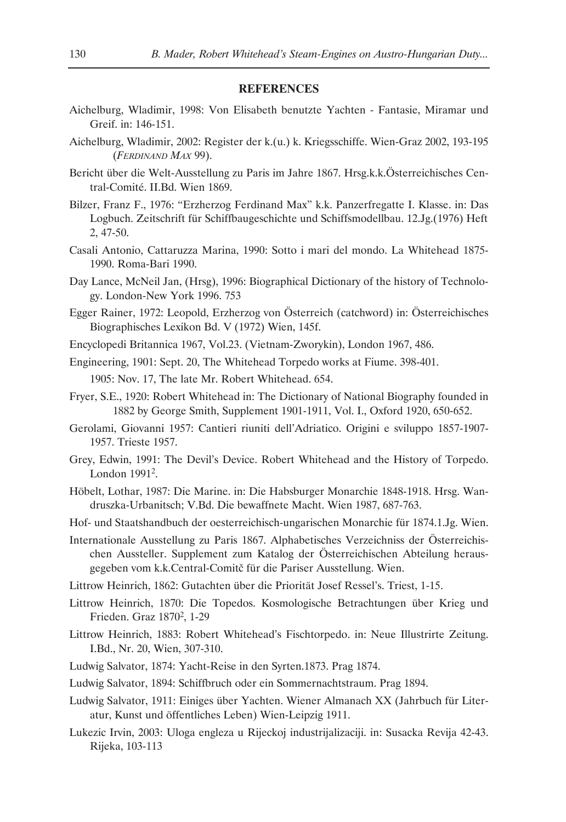### **REFERENCES**

- Aichelburg, Wladimir, 1998: Von Elisabeth benutzte Yachten Fantasie, Miramar und Greif. in: 146-151.
- Aichelburg, Wladimir, 2002: Register der k.(u.) k. Kriegsschiffe. Wien-Graz 2002, 193-195 (*FERDINAND MAX* 99).
- Bericht über die Welt-Ausstellung zu Paris im Jahre 1867. Hrsg.k.k.Österreichisches Central-Comité. II.Bd. Wien 1869.
- Bilzer, Franz F., 1976: "Erzherzog Ferdinand Max" k.k. Panzerfregatte I. Klasse. in: Das Logbuch. Zeitschrift für Schiffbaugeschichte und Schiffsmodellbau. 12.Jg.(1976) Heft 2, 47-50.
- Casali Antonio, Cattaruzza Marina, 1990: Sotto i mari del mondo. La Whitehead 1875- 1990. Roma-Bari 1990.
- Day Lance, McNeil Jan, (Hrsg), 1996: Biographical Dictionary of the history of Technology. London-New York 1996. 753
- Egger Rainer, 1972: Leopold, Erzherzog von Österreich (catchword) in: Österreichisches Biographisches Lexikon Bd. V (1972) Wien, 145f.
- Encyclopedi Britannica 1967, Vol.23. (Vietnam-Zworykin), London 1967, 486.

Engineering, 1901: Sept. 20, The Whitehead Torpedo works at Fiume. 398-401. 1905: Nov. 17, The late Mr. Robert Whitehead. 654.

- Fryer, S.E., 1920: Robert Whitehead in: The Dictionary of National Biography founded in 1882 by George Smith, Supplement 1901-1911, Vol. I., Oxford 1920, 650-652.
- Gerolami, Giovanni 1957: Cantieri riuniti dell'Adriatico. Origini e sviluppo 1857-1907- 1957. Trieste 1957.
- Grey, Edwin, 1991: The Devil's Device. Robert Whitehead and the History of Torpedo. London 19912.
- Höbelt, Lothar, 1987: Die Marine. in: Die Habsburger Monarchie 1848-1918. Hrsg. Wandruszka-Urbanitsch; V.Bd. Die bewaffnete Macht. Wien 1987, 687-763.
- Hof- und Staatshandbuch der oesterreichisch-ungarischen Monarchie für 1874.1.Jg. Wien.
- Internationale Ausstellung zu Paris 1867. Alphabetisches Verzeichniss der Österreichischen Aussteller. Supplement zum Katalog der Österreichischen Abteilung herausgegeben vom k.k.Central-Comitč für die Pariser Ausstellung. Wien.
- Littrow Heinrich, 1862: Gutachten über die Priorität Josef Ressel's. Triest, 1-15.
- Littrow Heinrich, 1870: Die Topedos. Kosmologische Betrachtungen über Krieg und Frieden. Graz 1870<sup>2</sup>, 1-29
- Littrow Heinrich, 1883: Robert Whitehead's Fischtorpedo. in: Neue Illustrirte Zeitung. I.Bd., Nr. 20, Wien, 307-310.
- Ludwig Salvator, 1874: Yacht-Reise in den Syrten.1873. Prag 1874.
- Ludwig Salvator, 1894: Schiffbruch oder ein Sommernachtstraum. Prag 1894.
- Ludwig Salvator, 1911: Einiges über Yachten. Wiener Almanach XX (Jahrbuch für Literatur, Kunst und öffentliches Leben) Wien-Leipzig 1911.
- Lukezic Irvin, 2003: Uloga engleza u Rijeckoj industrijalizaciji. in: Susacka Revija 42-43. Rijeka, 103-113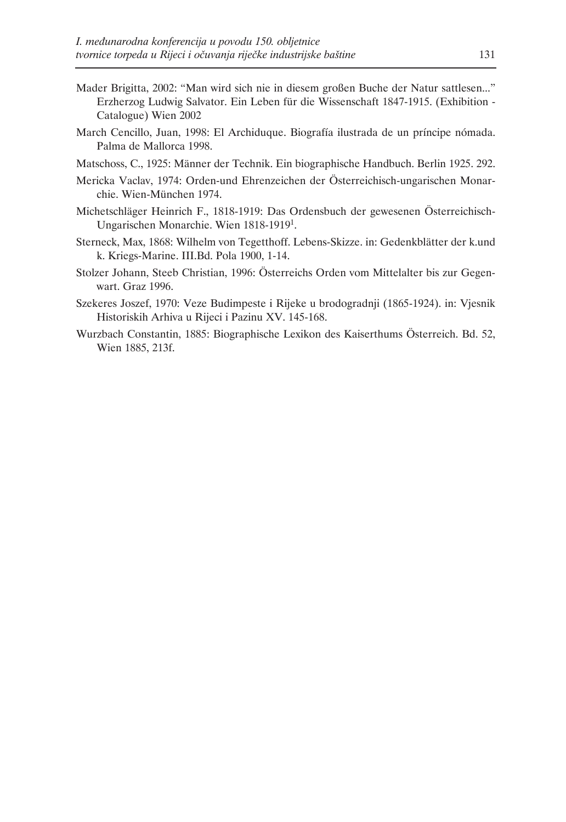- Mader Brigitta, 2002: "Man wird sich nie in diesem großen Buche der Natur sattlesen..." Erzherzog Ludwig Salvator. Ein Leben für die Wissenschaft 1847-1915. (Exhibition - Catalogue) Wien 2002
- March Cencillo, Juan, 1998: El Archiduque. Biografía ilustrada de un príncipe nómada. Palma de Mallorca 1998.
- Matschoss, C., 1925: Männer der Technik. Ein biographische Handbuch. Berlin 1925. 292.
- Mericka Vaclav, 1974: Orden-und Ehrenzeichen der Österreichisch-ungarischen Monarchie. Wien-München 1974.
- Michetschläger Heinrich F., 1818-1919: Das Ordensbuch der gewesenen Österreichisch-Ungarischen Monarchie. Wien 1818-19191.
- Sterneck, Max, 1868: Wilhelm von Tegetthoff. Lebens-Skizze. in: Gedenkblätter der k.und k. Kriegs-Marine. III.Bd. Pola 1900, 1-14.
- Stolzer Johann, Steeb Christian, 1996: Österreichs Orden vom Mittelalter bis zur Gegenwart. Graz 1996.
- Szekeres Joszef, 1970: Veze Budimpeste i Rijeke u brodogradnji (1865-1924). in: Vjesnik Historiskih Arhiva u Rijeci i Pazinu XV. 145-168.
- Wurzbach Constantin, 1885: Biographische Lexikon des Kaiserthums Österreich. Bd. 52, Wien 1885, 213f.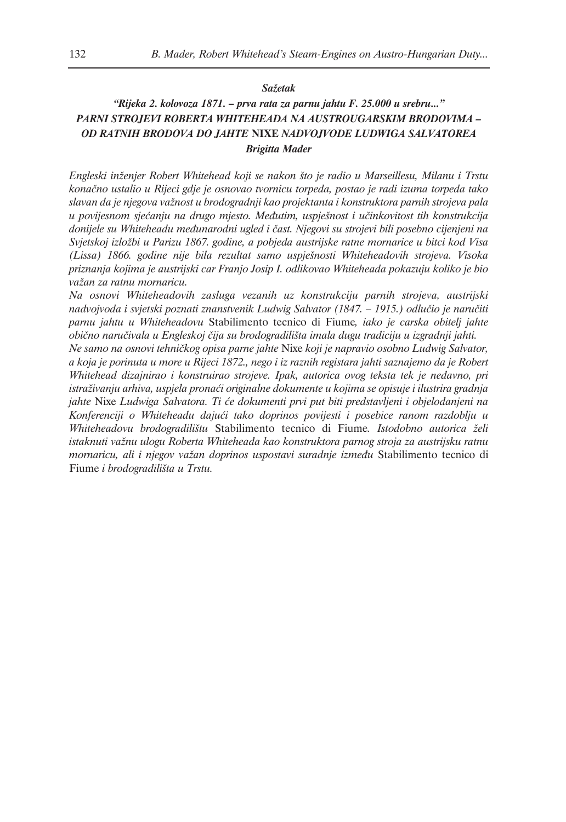### *Sažetak*

### *"Rijeka 2. kolovoza 1871. – prva rata za parnu jahtu F. 25.000 u srebru..." PARNI STROJEVI ROBERTA WHITEHEADA NA AUSTROUGARSKIM BRODOVIMA – OD RATNIH BRODOVA DO JAHTE* **NIXE** *NADVOJVODE LUDWIGA SALVATOREA Brigitta Mader*

*Engleski inženjer Robert Whitehead koji se nakon što je radio u Marseillesu, Milanu i Trstu konačno ustalio u Rijeci gdje je osnovao tvornicu torpeda, postao je radi izuma torpeda tako slavan da je njegova važnost u brodogradnji kao projektanta i konstruktora parnih strojeva pala u povijesnom sjećanju na drugo mjesto. Međutim, uspješnost i učinkovitost tih konstrukcija donijele su Whiteheadu međunarodni ugled i čast. Njegovi su strojevi bili posebno cijenjeni na Svjetskoj izložbi u Parizu 1867. godine, a pobjeda austrijske ratne mornarice u bitci kod Visa (Lissa) 1866. godine nije bila rezultat samo uspješnosti Whiteheadovih strojeva. Visoka priznanja kojima je austrijski car Franjo Josip I. odlikovao Whiteheada pokazuju koliko je bio važan za ratnu mornaricu.*

*Na osnovi Whiteheadovih zasluga vezanih uz konstrukciju parnih strojeva, austrijski nadvojvoda i svjetski poznati znanstvenik Ludwig Salvator (1847. – 1915.) odlučio je naručiti parnu jahtu u Whiteheadovu* Stabilimento tecnico di Fiume*, iako je carska obitelj jahte obično naručivala u Engleskoj čija su brodogradilišta imala dugu tradiciju u izgradnji jahti.*

*Ne samo na osnovi tehničkog opisa parne jahte* Nixe *koji je napravio osobno Ludwig Salvator, a koja je porinuta u more u Rijeci 1872., nego i iz raznih registara jahti saznajemo da je Robert Whitehead dizajnirao i konstruirao strojeve. Ipak, autorica ovog teksta tek je nedavno, pri istraživanju arhiva, uspjela pronaći originalne dokumente u kojima se opisuje i ilustrira gradnja jahte* Nixe *Ludwiga Salvatora. Ti će dokumenti prvi put biti predstavljeni i objelodanjeni na Konferenciji o Whiteheadu dajući tako doprinos povijesti i posebice ranom razdoblju u Whiteheadovu brodogradilištu* Stabilimento tecnico di Fiume*. Istodobno autorica želi istaknuti važnu ulogu Roberta Whiteheada kao konstruktora parnog stroja za austrijsku ratnu mornaricu, ali i njegov važan doprinos uspostavi suradnje između* Stabilimento tecnico di Fiume *i brodogradilišta u Trstu.*